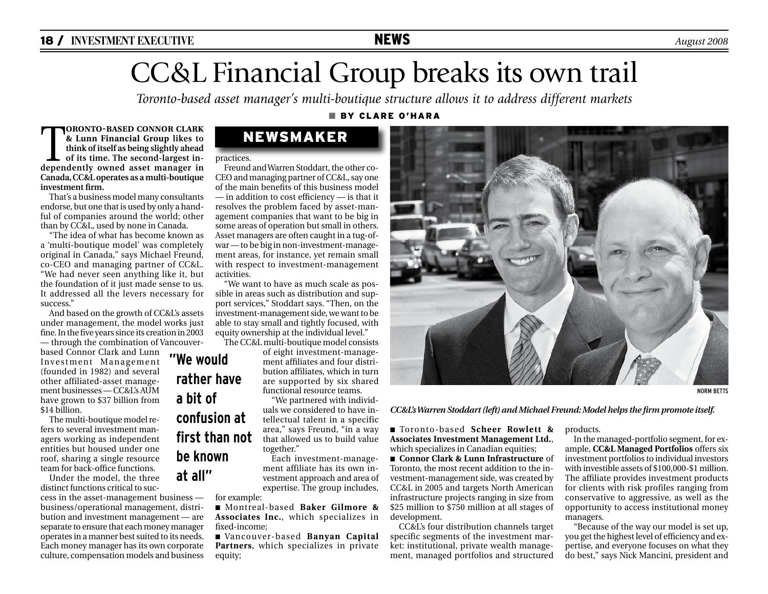# CC&L Financial Group breaks its own trail

*Toronto-based asset manager's multi-boutique structure allows it to address different markets* 

### n By Clare o'hara

**TORONTO-BASED CONNOR CLARK**<br>& Lunn Financial Group likes to<br>think of itself as being slightly ahead<br>of its time. The second-largest in-<br>denendently owned asset manager in **& Lunn Financial Group likes to think of itself as being slightly ahead of its time. The second-largest independently owned asset manager in Canada, CC&L operates as a multi-boutique investment firm.** 

That's a business model many consultants endorse, but one that is used by only a handful of companies around the world; other than by CC&L, used by none in Canada.

"The idea of what has become known as a 'multi-boutique model' was completely original in Canada," says Michael Freund, co-CEO and managing partner of CC&L. "We had never seen anything like it, but the foundation of it just made sense to us. It addressed all the levers necessary for success."

And based on the growth of CC&L's assets under management, the model works just fine. In the five years since its creation in 2003 — through the combination of Vancouver-

based Connor Clark and Lunn Investment Management (founded in 1982) and several other affiliated-asset management businesses — CC&L's AUM have grown to \$37 billion from \$14 billion.

The multi-boutique model refers to several investment managers working as independent entities but housed under one roof, sharing a single resource team for back-office functions.

Under the model, the three distinct functions critical to suc-

cess in the asset-management business business/operational management, distribution and investment management — are separate to ensure that each money manager operates in a manner best suited to its needs. Each money manager has its own corporate culture, compensation models and business

## newsmaker

#### practices.

Freund and Warren Stoddart, the other co-CEO and managing partner of CC&L, say one of the main benefits of this business model — in addition to cost efficiency — is that it resolves the problem faced by asset-management companies that want to be big in some areas of operation but small in others. Asset managers are often caught in a tug-ofwar — to be big in non-investment-management areas, for instance, yet remain small with respect to investment-management activities.

"We want to have as much scale as possible in areas such as distribution and support services," Stoddart says. "Then, on the investment-management side, we want to be able to stay small and tightly focused, with equity ownership at the individual level."

The CC&L multi-boutique model consists

of eight investment-management affiliates and four distribution affiliates, which in turn are supported by six shared functional resource teams.

"We partnered with individuals we considered to have intellectual talent in a specific area," says Freund, "in a way that allowed us to build value together."

Each investment-management affiliate has its own investment approach and area of expertise. The group includes,

for example:

n Montreal-based **Baker Gilmore & Associates Inc.**, which specializes in fixed-income;

n Vancouver-based **Banyan Capital Partners**, which specializes in private equity;



NORM BETTS

### *CC&L's Warren Stoddart (left) and Michael Freund: Model helps the firm promote itself.*

n Toronto-based **Scheer Rowlett & Associates Investment Management Ltd.**, which specializes in Canadian equities;

n **Connor Clark & Lunn Infrastructure** of Toronto, the most recent addition to the investment-management side, was created by CC&L in 2005 and targets North American infrastructure projects ranging in size from \$25 million to \$750 million at all stages of development.

CC&L's four distribution channels target specific segments of the investment market: institutional, private wealth management, managed portfolios and structured

products.

In the managed-portfolio segment, for example, **CC&L Managed Portfolios** offers six investment portfolios to individual investors with investible assets of \$100,000-\$1 million. The affiliate provides investment products for clients with risk profiles ranging from conservative to aggressive, as well as the opportunity to access institutional money managers.

"Because of the way our model is set up, you get the highest level of efficiency and expertise, and everyone focuses on what they do best," says Nick Mancini, president and

# **"We would rather have a bit of confusion at first than not be known at all"**